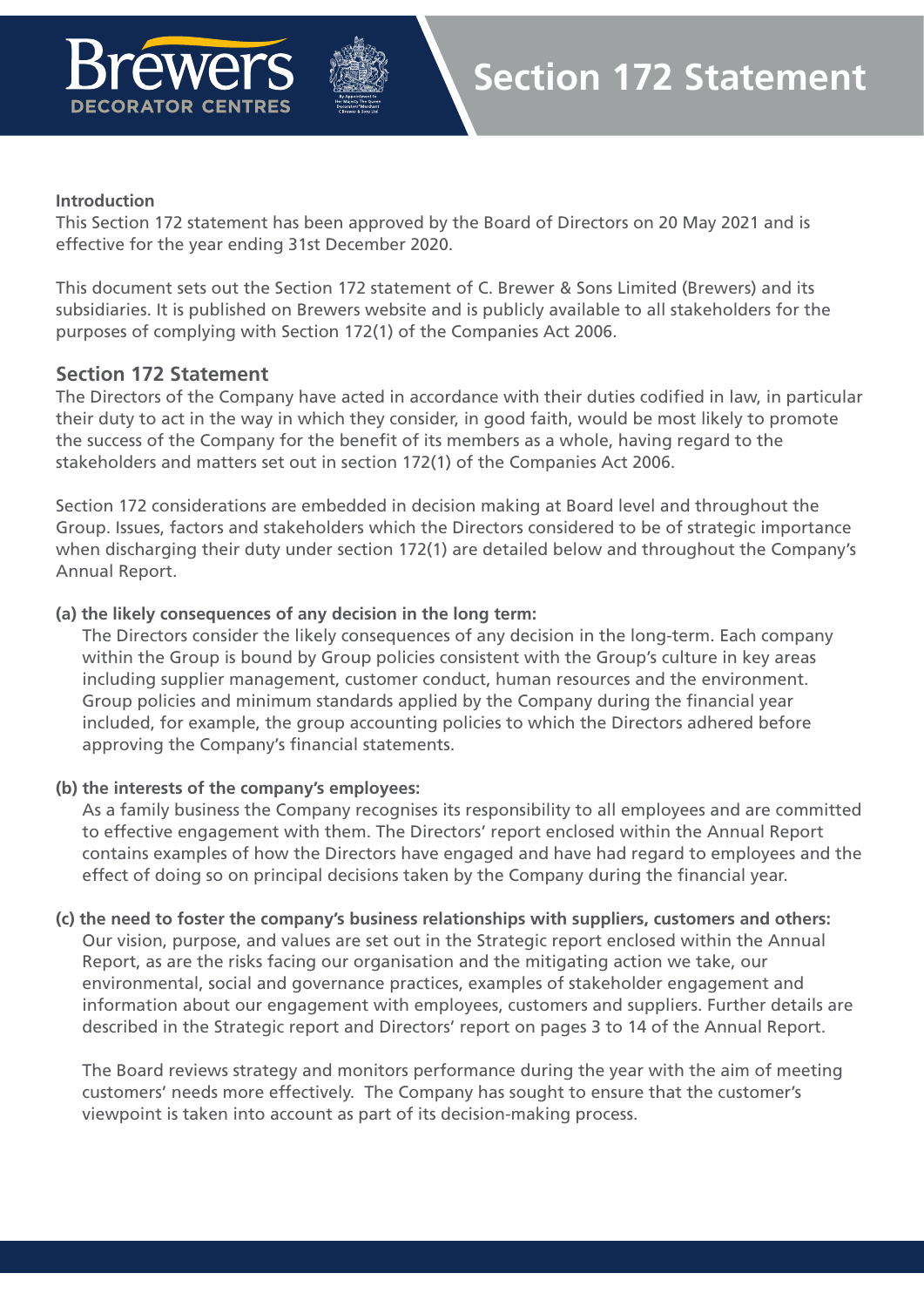

#### **Introduction**

This Section 172 statement has been approved by the Board of Directors on 20 May 2021 and is effective for the year ending 31st December 2020.

This document sets out the Section 172 statement of C. Brewer & Sons Limited (Brewers) and its subsidiaries. It is published on Brewers website and is publicly available to all stakeholders for the purposes of complying with Section 172(1) of the Companies Act 2006.

#### **Section 172 Statement**

**DECORATOR CENTRES** 

The Directors of the Company have acted in accordance with their duties codified in law, in particular their duty to act in the way in which they consider, in good faith, would be most likely to promote the success of the Company for the benefit of its members as a whole, having regard to the stakeholders and matters set out in section 172(1) of the Companies Act 2006.

Section 172 considerations are embedded in decision making at Board level and throughout the Group. Issues, factors and stakeholders which the Directors considered to be of strategic importance when discharging their duty under section 172(1) are detailed below and throughout the Company's Annual Report.

#### **(a) the likely consequences of any decision in the long term:**

The Directors consider the likely consequences of any decision in the long-term. Each company within the Group is bound by Group policies consistent with the Group's culture in key areas including supplier management, customer conduct, human resources and the environment. Group policies and minimum standards applied by the Company during the financial year included, for example, the group accounting policies to which the Directors adhered before approving the Company's financial statements.

#### **(b) the interests of the company's employees:**

As a family business the Company recognises its responsibility to all employees and are committed to effective engagement with them. The Directors' report enclosed within the Annual Report contains examples of how the Directors have engaged and have had regard to employees and the effect of doing so on principal decisions taken by the Company during the financial year.

#### **(c) the need to foster the company's business relationships with suppliers, customers and others:**

Our vision, purpose, and values are set out in the Strategic report enclosed within the Annual Report, as are the risks facing our organisation and the mitigating action we take, our environmental, social and governance practices, examples of stakeholder engagement and information about our engagement with employees, customers and suppliers. Further details are described in the Strategic report and Directors' report on pages 3 to 14 of the Annual Report.

The Board reviews strategy and monitors performance during the year with the aim of meeting customers' needs more effectively. The Company has sought to ensure that the customer's viewpoint is taken into account as part of its decision-making process.